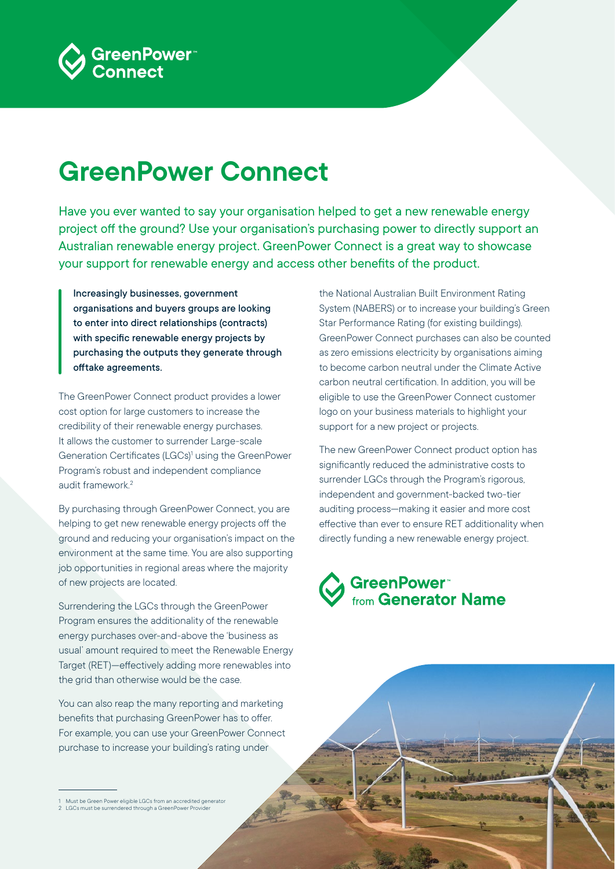

# **GreenPower Connect**

Have you ever wanted to say your organisation helped to get a new renewable energy project off the ground? Use your organisation's purchasing power to directly support an Australian renewable energy project. GreenPower Connect is a great way to showcase your support for renewable energy and access other benefits of the product.

Increasingly businesses, government organisations and buyers groups are looking to enter into direct relationships (contracts) with specific renewable energy projects by purchasing the outputs they generate through offtake agreements.

The GreenPower Connect product provides a lower cost option for large customers to increase the credibility of their renewable energy purchases. It allows the customer to surrender Large-scale Generation Certificates (LGCs)<sup>1</sup> using the GreenPower Program's robust and independent compliance audit framework<sup>2</sup>

By purchasing through GreenPower Connect, you are helping to get new renewable energy projects off the ground and reducing your organisation's impact on the environment at the same time. You are also supporting job opportunities in regional areas where the majority of new projects are located.

Surrendering the LGCs through the GreenPower Program ensures the additionality of the renewable energy purchases over-and-above the 'business as usual' amount required to meet the Renewable Energy Target (RET)—effectively adding more renewables into the grid than otherwise would be the case.

You can also reap the many reporting and marketing benefits that purchasing GreenPower has to offer. For example, you can use your GreenPower Connect purchase to increase your building's rating under

the National Australian Built Environment Rating System (NABERS) or to increase your building's Green Star Performance Rating (for existing buildings). GreenPower Connect purchases can also be counted as zero emissions electricity by organisations aiming to become carbon neutral under the Climate Active carbon neutral certification. In addition, you will be eligible to use the GreenPower Connect customer logo on your business materials to highlight your support for a new project or projects.

The new GreenPower Connect product option has significantly reduced the administrative costs to surrender LGCs through the Program's rigorous, independent and government-backed two-tier auditing process—making it easier and more cost effective than ever to ensure RET additionality when directly funding a new renewable energy project.



<sup>1</sup> Must be Green Power eligible LGCs from an accredited generator 2 LGCs must be surrendered through a GreenPower Provider